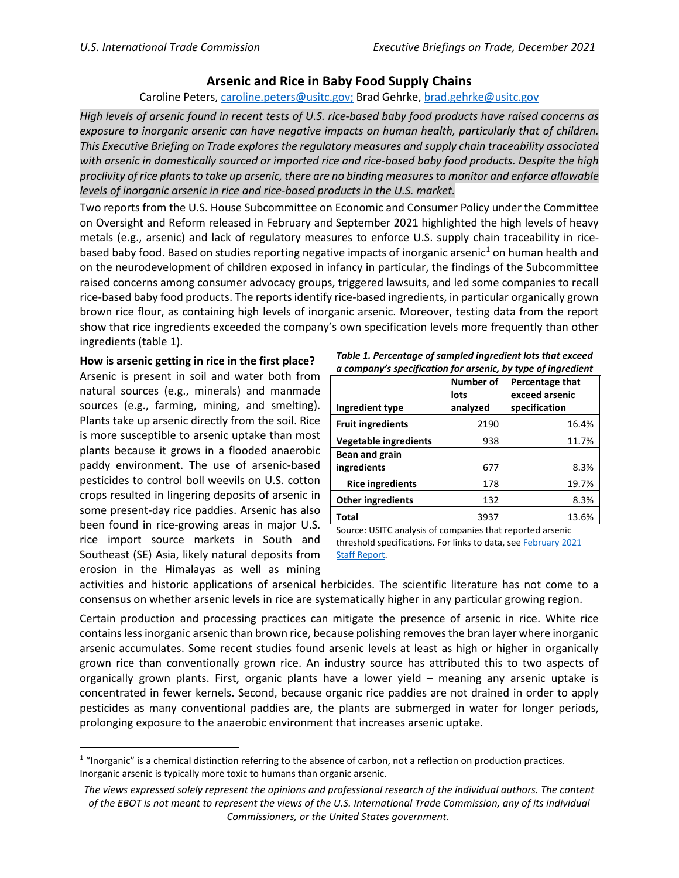## **Arsenic and Rice in Baby Food Supply Chains**

## Caroline Peters, [caroline.peters@usitc.gov;](mailto:caroline.peters@usitc.gov) Brad Gehrke[, brad.gehrke@usitc.gov](mailto:brad.gehrke@usitc.gov)

*High levels of arsenic found in recent tests of U.S. rice-based baby food products have raised concerns as exposure to inorganic arsenic can have negative impacts on human health, particularly that of children. This Executive Briefing on Trade explores the regulatory measures and supply chain traceability associated with arsenic in domestically sourced or imported rice and rice-based baby food products. Despite the high proclivity of rice plants to take up arsenic, there are no binding measures to monitor and enforce allowable levels of inorganic arsenic in rice and rice-based products in the U.S. market.*

Two reports from the U.S. House Subcommittee on Economic and Consumer Policy under the Committee on Oversight and Reform released in February and September 2021 highlighted the high levels of heavy metals (e.g., arsenic) and lack of regulatory measures to enforce U.S. supply chain traceability in rice-based baby food. Based on studies reporting negative impacts of inorganic arsenic<sup>[1](#page-0-0)</sup> on human health and on the neurodevelopment of children exposed in infancy in particular, the findings of the Subcommittee raised concerns among consumer advocacy groups, triggered lawsuits, and led some companies to recall rice-based baby food products. The reportsidentify rice-based ingredients, in particular organically grown brown rice flour, as containing high levels of inorganic arsenic. Moreover, testing data from the report show that rice ingredients exceeded the company's own specification levels more frequently than other ingredients (table 1).

## **How is arsenic getting in rice in the first place?**

Arsenic is present in soil and water both from natural sources (e.g., minerals) and manmade sources (e.g., farming, mining, and smelting). Plants take up arsenic directly from the soil. Rice is more susceptible to arsenic uptake than most plants because it grows in a flooded anaerobic paddy environment. The use of arsenic-based pesticides to control boll weevils on U.S. cotton crops resulted in lingering deposits of arsenic in some present-day rice paddies. Arsenic has also been found in rice-growing areas in major U.S. rice import source markets in South and Southeast (SE) Asia, likely natural deposits from erosion in the Himalayas as well as mining

| Table 1. Percentage of sampled ingredient lots that exceed   |  |  |
|--------------------------------------------------------------|--|--|
| a company's specification for arsenic, by type of ingredient |  |  |

|                          | <b>Number of</b><br>lots | <b>Percentage that</b><br>exceed arsenic |
|--------------------------|--------------------------|------------------------------------------|
| Ingredient type          | analyzed                 | specification                            |
| <b>Fruit ingredients</b> | 2190                     | 16.4%                                    |
| Vegetable ingredients    | 938                      | 11.7%                                    |
| Bean and grain           |                          |                                          |
| ingredients              | 677                      | 8.3%                                     |
| <b>Rice ingredients</b>  | 178                      | 19.7%                                    |
| <b>Other ingredients</b> | 132                      | 8.3%                                     |
| Total                    | 3937                     | 13.6%                                    |

Source: USITC analysis of companies that reported arsenic threshold specifications. For links to data, see February 2021 [Staff Report.](https://oversight.house.gov/sites/democrats.oversight.house.gov/files/2021-02-04%20ECP%20Baby%20Food%20Staff%20Report.pdf)

activities and historic applications of arsenical herbicides. The scientific literature has not come to a consensus on whether arsenic levels in rice are systematically higher in any particular growing region.

Certain production and processing practices can mitigate the presence of arsenic in rice. White rice contains less inorganic arsenic than brown rice, because polishing removes the bran layer where inorganic arsenic accumulates. Some recent studies found arsenic levels at least as high or higher in organically grown rice than conventionally grown rice. An industry source has attributed this to two aspects of organically grown plants. First, organic plants have a lower yield – meaning any arsenic uptake is concentrated in fewer kernels. Second, because organic rice paddies are not drained in order to apply pesticides as many conventional paddies are, the plants are submerged in water for longer periods, prolonging exposure to the anaerobic environment that increases arsenic uptake.

<span id="page-0-0"></span> $1$  "Inorganic" is a chemical distinction referring to the absence of carbon, not a reflection on production practices. Inorganic arsenic is typically more toxic to humans than organic arsenic.

*The views expressed solely represent the opinions and professional research of the individual authors. The content of the EBOT is not meant to represent the views of the U.S. International Trade Commission, any of its individual Commissioners, or the United States government.*